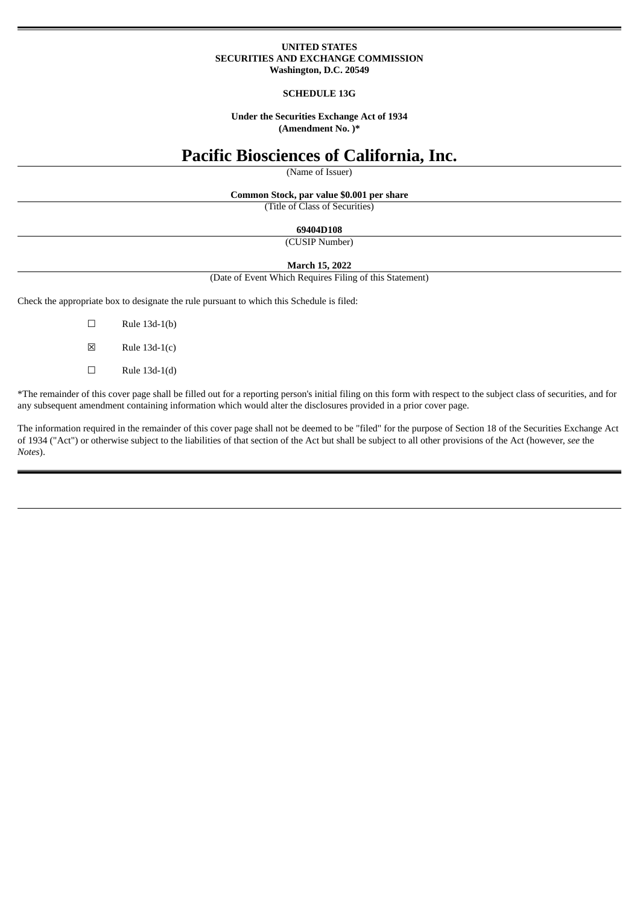#### **UNITED STATES SECURITIES AND EXCHANGE COMMISSION Washington, D.C. 20549**

#### **SCHEDULE 13G**

**Under the Securities Exchange Act of 1934 (Amendment No. )\***

# **Pacific Biosciences of California, Inc.**

(Name of Issuer)

**Common Stock, par value \$0.001 per share**

(Title of Class of Securities)

## **69404D108**

(CUSIP Number)

#### **March 15, 2022**

(Date of Event Which Requires Filing of this Statement)

Check the appropriate box to designate the rule pursuant to which this Schedule is filed:

- $\square$  Rule 13d-1(b)
- $\boxtimes$  Rule 13d-1(c)
- $\Box$  Rule 13d-1(d)

\*The remainder of this cover page shall be filled out for a reporting person's initial filing on this form with respect to the subject class of securities, and for any subsequent amendment containing information which would alter the disclosures provided in a prior cover page.

The information required in the remainder of this cover page shall not be deemed to be "filed" for the purpose of Section 18 of the Securities Exchange Act of 1934 ("Act") or otherwise subject to the liabilities of that section of the Act but shall be subject to all other provisions of the Act (however, *see* the *Notes*).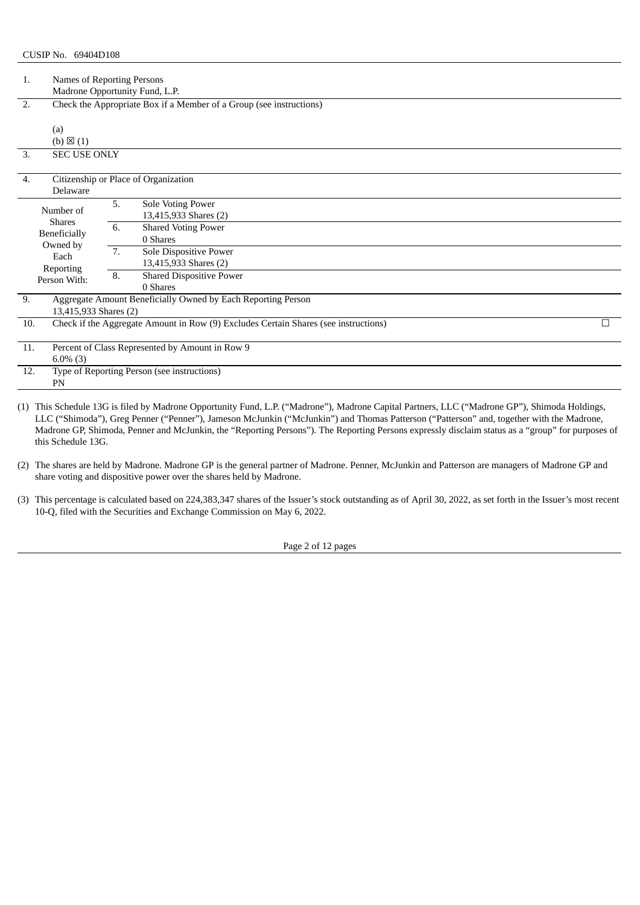| 1.  | Names of Reporting Persons<br>Madrone Opportunity Fund, L.P.                                |                      |                                                                                                                                                                                 |   |  |  |
|-----|---------------------------------------------------------------------------------------------|----------------------|---------------------------------------------------------------------------------------------------------------------------------------------------------------------------------|---|--|--|
| 2.  | (a)<br>$(b) \boxtimes (1)$                                                                  |                      | Check the Appropriate Box if a Member of a Group (see instructions)                                                                                                             |   |  |  |
| 3.  | <b>SEC USE ONLY</b>                                                                         |                      |                                                                                                                                                                                 |   |  |  |
| 4.  | <b>Delaware</b>                                                                             |                      | Citizenship or Place of Organization                                                                                                                                            |   |  |  |
|     | Number of<br><b>Shares</b><br>Beneficially<br>Owned by<br>Each<br>Reporting<br>Person With: | 5.<br>6.<br>7.<br>8. | Sole Voting Power<br>13,415,933 Shares (2)<br>Shared Voting Power<br>0 Shares<br>Sole Dispositive Power<br>13,415,933 Shares (2)<br><b>Shared Dispositive Power</b><br>0 Shares |   |  |  |
| 9.  | 13,415,933 Shares (2)                                                                       |                      | Aggregate Amount Beneficially Owned by Each Reporting Person                                                                                                                    |   |  |  |
| 10. |                                                                                             |                      | Check if the Aggregate Amount in Row (9) Excludes Certain Shares (see instructions)                                                                                             | г |  |  |
| 11. | Percent of Class Represented by Amount in Row 9<br>$6.0\%$ (3)                              |                      |                                                                                                                                                                                 |   |  |  |
| 12. | Type of Reporting Person (see instructions)<br>PN                                           |                      |                                                                                                                                                                                 |   |  |  |

(1) This Schedule 13G is filed by Madrone Opportunity Fund, L.P. ("Madrone"), Madrone Capital Partners, LLC ("Madrone GP"), Shimoda Holdings, LLC ("Shimoda"), Greg Penner ("Penner"), Jameson McJunkin ("McJunkin") and Thomas Patterson ("Patterson" and, together with the Madrone, Madrone GP, Shimoda, Penner and McJunkin, the "Reporting Persons"). The Reporting Persons expressly disclaim status as a "group" for purposes of this Schedule 13G.

(2) The shares are held by Madrone. Madrone GP is the general partner of Madrone. Penner, McJunkin and Patterson are managers of Madrone GP and share voting and dispositive power over the shares held by Madrone.

(3) This percentage is calculated based on 224,383,347 shares of the Issuer's stock outstanding as of April 30, 2022, as set forth in the Issuer's most recent 10-Q, filed with the Securities and Exchange Commission on May 6, 2022.

Page 2 of 12 pages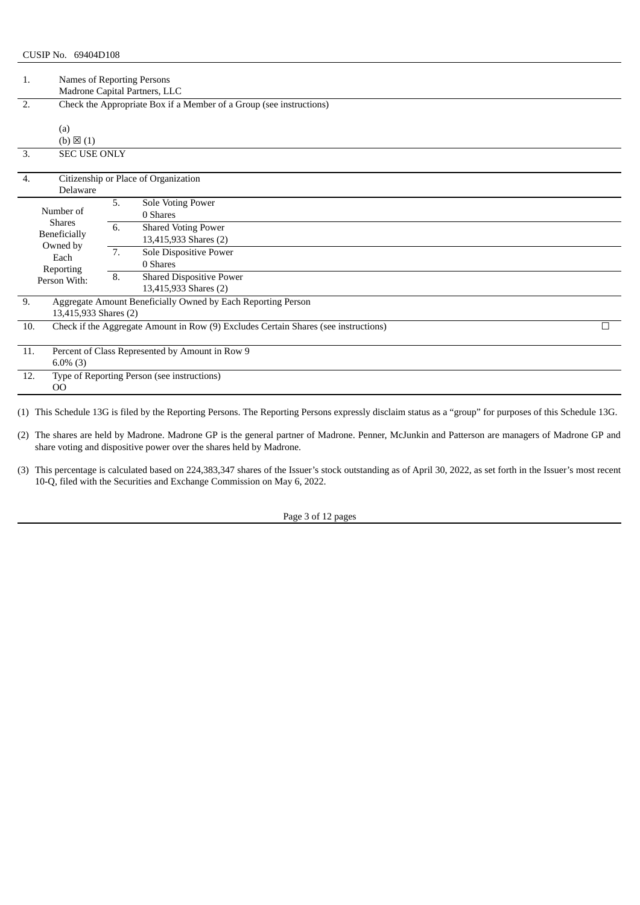| 1.  | Names of Reporting Persons<br>Madrone Capital Partners, LLC                                 |                      |                                                                                                                                                                                               |   |  |  |
|-----|---------------------------------------------------------------------------------------------|----------------------|-----------------------------------------------------------------------------------------------------------------------------------------------------------------------------------------------|---|--|--|
| 2.  |                                                                                             |                      | Check the Appropriate Box if a Member of a Group (see instructions)                                                                                                                           |   |  |  |
| 3.  | (a)<br>$(b) \boxtimes (1)$<br><b>SEC USE ONLY</b>                                           |                      |                                                                                                                                                                                               |   |  |  |
| 4.  | Delaware                                                                                    |                      | Citizenship or Place of Organization                                                                                                                                                          |   |  |  |
|     | Number of<br><b>Shares</b><br>Beneficially<br>Owned by<br>Each<br>Reporting<br>Person With: | 5.<br>6.<br>7.<br>8. | <b>Sole Voting Power</b><br>0 Shares<br><b>Shared Voting Power</b><br>13,415,933 Shares (2)<br>Sole Dispositive Power<br>0 Shares<br><b>Shared Dispositive Power</b><br>13,415,933 Shares (2) |   |  |  |
| 9.  | 13,415,933 Shares (2)                                                                       |                      | Aggregate Amount Beneficially Owned by Each Reporting Person                                                                                                                                  |   |  |  |
| 10. |                                                                                             |                      | Check if the Aggregate Amount in Row (9) Excludes Certain Shares (see instructions)                                                                                                           | П |  |  |
| 11. | $6.0\%$ (3)                                                                                 |                      | Percent of Class Represented by Amount in Row 9                                                                                                                                               |   |  |  |
| 12. | Type of Reporting Person (see instructions)<br><sub>OO</sub>                                |                      |                                                                                                                                                                                               |   |  |  |

(2) The shares are held by Madrone. Madrone GP is the general partner of Madrone. Penner, McJunkin and Patterson are managers of Madrone GP and share voting and dispositive power over the shares held by Madrone.

Page 3 of 12 pages

<sup>(3)</sup> This percentage is calculated based on 224,383,347 shares of the Issuer's stock outstanding as of April 30, 2022, as set forth in the Issuer's most recent 10-Q, filed with the Securities and Exchange Commission on May 6, 2022.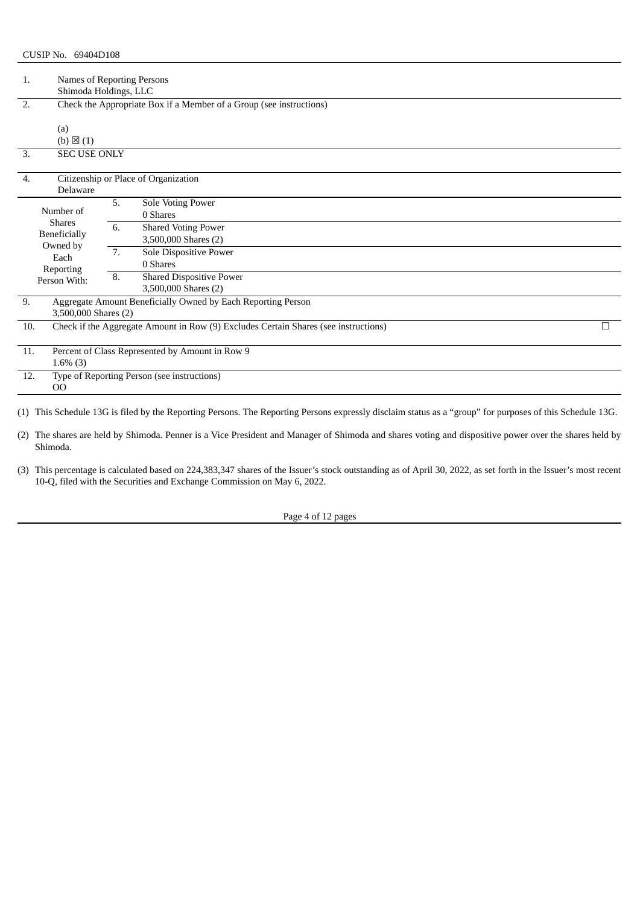| 1.  | Names of Reporting Persons<br>Shimoda Holdings, LLC                                         |                                    |                                                                                                                                                                                      |  |  |  |
|-----|---------------------------------------------------------------------------------------------|------------------------------------|--------------------------------------------------------------------------------------------------------------------------------------------------------------------------------------|--|--|--|
| 2.  |                                                                                             |                                    | Check the Appropriate Box if a Member of a Group (see instructions)                                                                                                                  |  |  |  |
| 3.  | (a)<br>$(b) \boxtimes (1)$<br><b>SEC USE ONLY</b>                                           |                                    |                                                                                                                                                                                      |  |  |  |
| 4.  |                                                                                             |                                    | Citizenship or Place of Organization                                                                                                                                                 |  |  |  |
|     | Delaware                                                                                    |                                    |                                                                                                                                                                                      |  |  |  |
|     | Number of<br><b>Shares</b><br>Beneficially<br>Owned by<br>Each<br>Reporting<br>Person With: | 5.<br>6.<br>$\overline{7}$ .<br>8. | Sole Voting Power<br>0 Shares<br><b>Shared Voting Power</b><br>3,500,000 Shares (2)<br>Sole Dispositive Power<br>0 Shares<br><b>Shared Dispositive Power</b><br>3,500,000 Shares (2) |  |  |  |
| 9.  | 3,500,000 Shares (2)                                                                        |                                    | Aggregate Amount Beneficially Owned by Each Reporting Person                                                                                                                         |  |  |  |
| 10. |                                                                                             |                                    | Check if the Aggregate Amount in Row (9) Excludes Certain Shares (see instructions)                                                                                                  |  |  |  |
| 11. | Percent of Class Represented by Amount in Row 9                                             |                                    |                                                                                                                                                                                      |  |  |  |
|     | $1.6\%$ (3)                                                                                 |                                    |                                                                                                                                                                                      |  |  |  |
| 12. | Type of Reporting Person (see instructions)<br>00                                           |                                    |                                                                                                                                                                                      |  |  |  |

(2) The shares are held by Shimoda. Penner is a Vice President and Manager of Shimoda and shares voting and dispositive power over the shares held by Shimoda.

Page 4 of 12 pages

<sup>(3)</sup> This percentage is calculated based on 224,383,347 shares of the Issuer's stock outstanding as of April 30, 2022, as set forth in the Issuer's most recent 10-Q, filed with the Securities and Exchange Commission on May 6, 2022.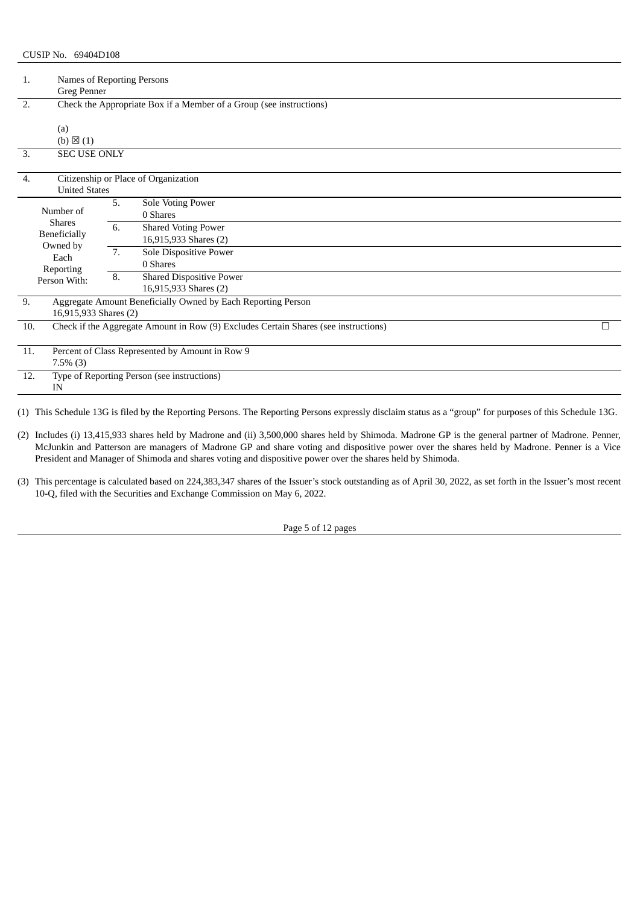| 1.           | Names of Reporting Persons<br><b>Greg Penner</b> |    |                                                                                     |  |  |  |
|--------------|--------------------------------------------------|----|-------------------------------------------------------------------------------------|--|--|--|
| 2.           |                                                  |    | Check the Appropriate Box if a Member of a Group (see instructions)                 |  |  |  |
|              |                                                  |    |                                                                                     |  |  |  |
| (a)          |                                                  |    |                                                                                     |  |  |  |
|              | $(b) \boxtimes (1)$                              |    |                                                                                     |  |  |  |
| 3.           | <b>SEC USE ONLY</b>                              |    |                                                                                     |  |  |  |
|              |                                                  |    |                                                                                     |  |  |  |
| 4.           |                                                  |    | Citizenship or Place of Organization                                                |  |  |  |
|              | <b>United States</b>                             |    |                                                                                     |  |  |  |
| Number of    |                                                  | 5. | Sole Voting Power                                                                   |  |  |  |
|              | <b>Shares</b>                                    |    | 0 Shares                                                                            |  |  |  |
| Beneficially |                                                  | 6. | <b>Shared Voting Power</b>                                                          |  |  |  |
|              | Owned by<br>Each<br>Reporting<br>Person With:    |    | 16,915,933 Shares (2)                                                               |  |  |  |
|              |                                                  | 7. | Sole Dispositive Power                                                              |  |  |  |
|              |                                                  |    | 0 Shares                                                                            |  |  |  |
|              |                                                  | 8. | <b>Shared Dispositive Power</b>                                                     |  |  |  |
|              |                                                  |    | 16,915,933 Shares (2)                                                               |  |  |  |
| 9.           |                                                  |    | Aggregate Amount Beneficially Owned by Each Reporting Person                        |  |  |  |
|              | 16,915,933 Shares (2)                            |    |                                                                                     |  |  |  |
| 10.          |                                                  |    | Check if the Aggregate Amount in Row (9) Excludes Certain Shares (see instructions) |  |  |  |
|              |                                                  |    |                                                                                     |  |  |  |
| 11.          |                                                  |    | Percent of Class Represented by Amount in Row 9                                     |  |  |  |
|              | $7.5\%$ (3)                                      |    |                                                                                     |  |  |  |
| 12.          | Type of Reporting Person (see instructions)      |    |                                                                                     |  |  |  |
| IN           |                                                  |    |                                                                                     |  |  |  |

(2) Includes (i) 13,415,933 shares held by Madrone and (ii) 3,500,000 shares held by Shimoda. Madrone GP is the general partner of Madrone. Penner, McJunkin and Patterson are managers of Madrone GP and share voting and dispositive power over the shares held by Madrone. Penner is a Vice President and Manager of Shimoda and shares voting and dispositive power over the shares held by Shimoda.

(3) This percentage is calculated based on 224,383,347 shares of the Issuer's stock outstanding as of April 30, 2022, as set forth in the Issuer's most recent 10-Q, filed with the Securities and Exchange Commission on May 6, 2022.

Page 5 of 12 pages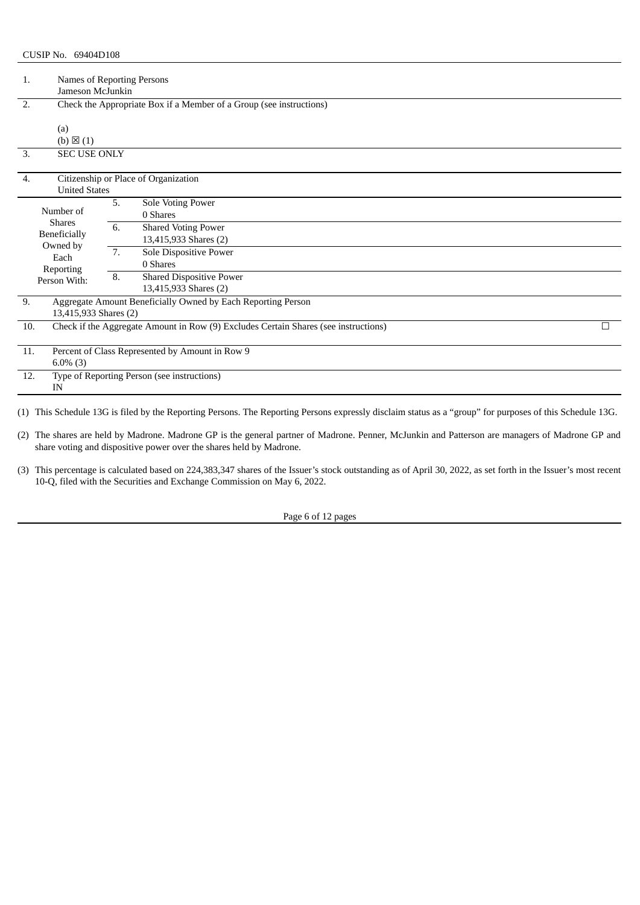| 1.  | Names of Reporting Persons<br>Jameson McJunkin                                              |                      |                                                                                                                                                                                        |  |  |  |
|-----|---------------------------------------------------------------------------------------------|----------------------|----------------------------------------------------------------------------------------------------------------------------------------------------------------------------------------|--|--|--|
| 2.  |                                                                                             |                      | Check the Appropriate Box if a Member of a Group (see instructions)                                                                                                                    |  |  |  |
| 3.  | (a)<br>$(b) \boxtimes (1)$<br><b>SEC USE ONLY</b>                                           |                      |                                                                                                                                                                                        |  |  |  |
| 4.  |                                                                                             |                      | Citizenship or Place of Organization                                                                                                                                                   |  |  |  |
|     | <b>United States</b>                                                                        |                      |                                                                                                                                                                                        |  |  |  |
|     | Number of<br><b>Shares</b><br>Beneficially<br>Owned by<br>Each<br>Reporting<br>Person With: | 5.<br>6.<br>7.<br>8. | Sole Voting Power<br>0 Shares<br><b>Shared Voting Power</b><br>13,415,933 Shares (2)<br>Sole Dispositive Power<br>0 Shares<br><b>Shared Dispositive Power</b><br>13,415,933 Shares (2) |  |  |  |
| 9.  | Aggregate Amount Beneficially Owned by Each Reporting Person<br>13,415,933 Shares (2)       |                      |                                                                                                                                                                                        |  |  |  |
| 10. |                                                                                             |                      | Check if the Aggregate Amount in Row (9) Excludes Certain Shares (see instructions)                                                                                                    |  |  |  |
| 11. | Percent of Class Represented by Amount in Row 9                                             |                      |                                                                                                                                                                                        |  |  |  |
|     | $6.0\%$ (3)                                                                                 |                      |                                                                                                                                                                                        |  |  |  |
| 12. | Type of Reporting Person (see instructions)<br>IN                                           |                      |                                                                                                                                                                                        |  |  |  |

(2) The shares are held by Madrone. Madrone GP is the general partner of Madrone. Penner, McJunkin and Patterson are managers of Madrone GP and share voting and dispositive power over the shares held by Madrone.

Page 6 of 12 pages

<sup>(3)</sup> This percentage is calculated based on 224,383,347 shares of the Issuer's stock outstanding as of April 30, 2022, as set forth in the Issuer's most recent 10-Q, filed with the Securities and Exchange Commission on May 6, 2022.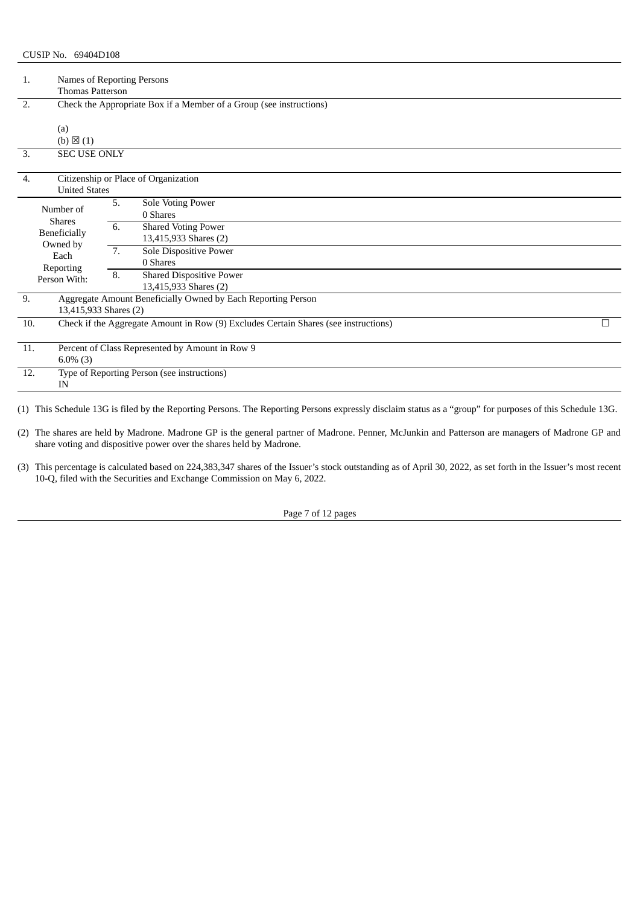| 1.                         | Names of Reporting Persons<br><b>Thomas Patterson</b>      |                                                                                     |  |  |  |  |
|----------------------------|------------------------------------------------------------|-------------------------------------------------------------------------------------|--|--|--|--|
| 2.                         |                                                            | Check the Appropriate Box if a Member of a Group (see instructions)                 |  |  |  |  |
| (a)<br>$(b) \boxtimes (1)$ |                                                            |                                                                                     |  |  |  |  |
| 3.                         | <b>SEC USE ONLY</b>                                        |                                                                                     |  |  |  |  |
| 4.                         | <b>United States</b>                                       | Citizenship or Place of Organization                                                |  |  |  |  |
| Number of<br><b>Shares</b> | 5.<br>6.                                                   | Sole Voting Power<br>0 Shares<br><b>Shared Voting Power</b>                         |  |  |  |  |
| Beneficially<br>Owned by   |                                                            | 13,415,933 Shares (2)                                                               |  |  |  |  |
| Each<br>Reporting          | 7.                                                         | Sole Dispositive Power<br>0 Shares                                                  |  |  |  |  |
| Person With:               | 8.                                                         | <b>Shared Dispositive Power</b><br>13,415,933 Shares (2)                            |  |  |  |  |
| 9.                         | 13,415,933 Shares (2)                                      | Aggregate Amount Beneficially Owned by Each Reporting Person                        |  |  |  |  |
| 10.                        |                                                            | Check if the Aggregate Amount in Row (9) Excludes Certain Shares (see instructions) |  |  |  |  |
| 11.                        | Percent of Class Represented by Amount in Row 9            |                                                                                     |  |  |  |  |
| 12.<br>IN                  | $6.0\%$ (3)<br>Type of Reporting Person (see instructions) |                                                                                     |  |  |  |  |

(2) The shares are held by Madrone. Madrone GP is the general partner of Madrone. Penner, McJunkin and Patterson are managers of Madrone GP and share voting and dispositive power over the shares held by Madrone.

(3) This percentage is calculated based on 224,383,347 shares of the Issuer's stock outstanding as of April 30, 2022, as set forth in the Issuer's most recent 10-Q, filed with the Securities and Exchange Commission on May 6, 2022.

Page 7 of 12 pages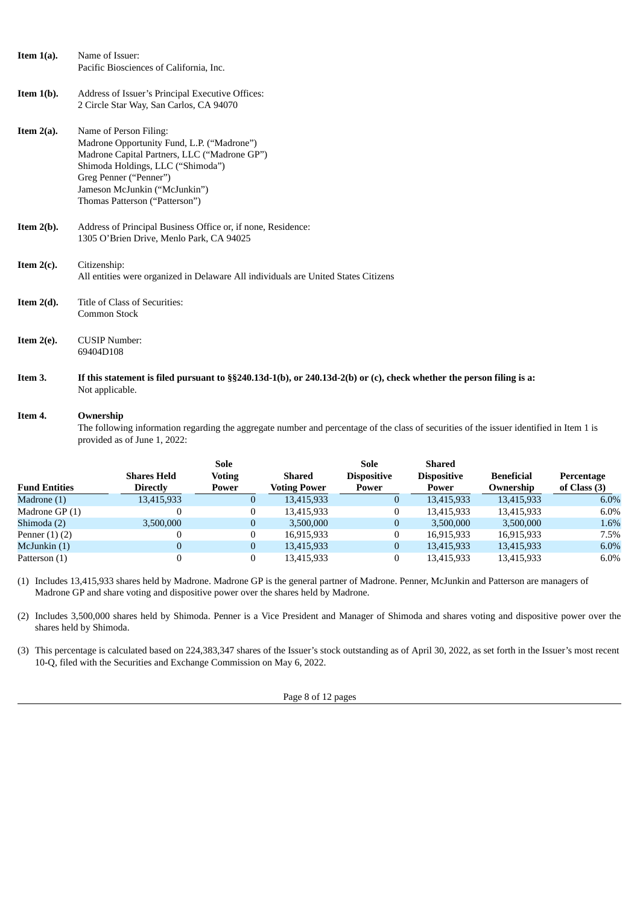| Item $1(a)$ . | Name of Issuer:                                                                                                         |
|---------------|-------------------------------------------------------------------------------------------------------------------------|
|               | Pacific Biosciences of California, Inc.                                                                                 |
|               |                                                                                                                         |
| Item $1(b)$ . | Address of Issuer's Principal Executive Offices:                                                                        |
|               | 2 Circle Star Way, San Carlos, CA 94070                                                                                 |
| Item $2(a)$ . | Name of Person Filing:                                                                                                  |
|               | Madrone Opportunity Fund, L.P. ("Madrone")                                                                              |
|               | Madrone Capital Partners, LLC ("Madrone GP")                                                                            |
|               | Shimoda Holdings, LLC ("Shimoda")                                                                                       |
|               | Greg Penner ("Penner")                                                                                                  |
|               | Jameson McJunkin ("McJunkin")                                                                                           |
|               | Thomas Patterson ("Patterson")                                                                                          |
|               |                                                                                                                         |
| Item $2(b)$ . | Address of Principal Business Office or, if none, Residence:                                                            |
|               | 1305 O'Brien Drive, Menlo Park, CA 94025                                                                                |
|               |                                                                                                                         |
| Item $2(c)$ . | Citizenship:                                                                                                            |
|               | All entities were organized in Delaware All individuals are United States Citizens                                      |
|               |                                                                                                                         |
| Item $2(d)$ . | Title of Class of Securities:                                                                                           |
|               | <b>Common Stock</b>                                                                                                     |
|               |                                                                                                                         |
| Item $2(e)$ . | <b>CUSIP Number:</b>                                                                                                    |
|               | 69404D108                                                                                                               |
|               |                                                                                                                         |
| Item 3.       | If this statement is filed pursuant to $\S$ 240.13d-1(b), or 240.13d-2(b) or (c), check whether the person filing is a: |
|               | Not applicable.                                                                                                         |
|               |                                                                                                                         |

## **Item 4. Ownership**

The following information regarding the aggregate number and percentage of the class of securities of the issuer identified in Item 1 is provided as of June 1, 2022:

|                    | Sole     |                     | Sole               | Shared             |                   |                |
|--------------------|----------|---------------------|--------------------|--------------------|-------------------|----------------|
| <b>Shares Held</b> | Voting   | <b>Shared</b>       | <b>Dispositive</b> | <b>Dispositive</b> | <b>Beneficial</b> | Percentage     |
| <b>Directly</b>    | Power    | <b>Voting Power</b> | Power              | Power              | Ownership         | of Class $(3)$ |
| 13,415,933         | O        | 13,415,933          | $\mathbf 0$        | 13,415,933         | 13,415,933        | $6.0\%$        |
|                    |          | 13,415,933          | $\bf{0}$           | 13,415,933         | 13,415,933        | $6.0\%$        |
| 3,500,000          |          | 3,500,000           | $\bf{0}$           | 3,500,000          | 3,500,000         | 1.6%           |
|                    |          | 16,915,933          |                    | 16,915,933         | 16,915,933        | 7.5%           |
| 0                  | $\bf{0}$ | 13,415,933          | $\bf{0}$           | 13,415,933         | 13,415,933        | 6.0%           |
|                    |          | 13,415,933          |                    | 13,415,933         | 13,415,933        | $6.0\%$        |
|                    |          |                     |                    |                    |                   |                |

(1) Includes 13,415,933 shares held by Madrone. Madrone GP is the general partner of Madrone. Penner, McJunkin and Patterson are managers of Madrone GP and share voting and dispositive power over the shares held by Madrone.

(2) Includes 3,500,000 shares held by Shimoda. Penner is a Vice President and Manager of Shimoda and shares voting and dispositive power over the shares held by Shimoda.

(3) This percentage is calculated based on 224,383,347 shares of the Issuer's stock outstanding as of April 30, 2022, as set forth in the Issuer's most recent 10-Q, filed with the Securities and Exchange Commission on May 6, 2022.

Page 8 of 12 pages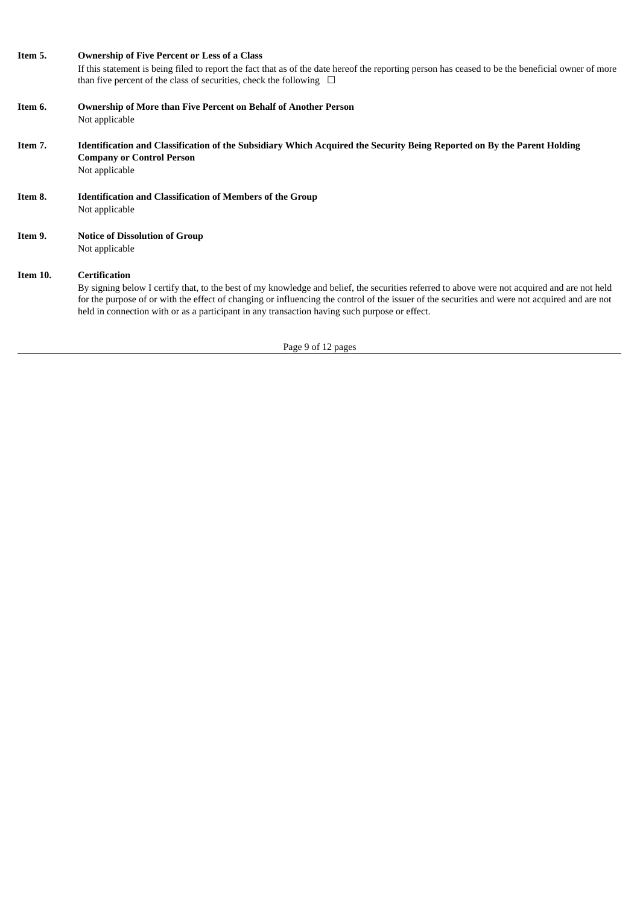## **Item 5. Ownership of Five Percent or Less of a Class**

If this statement is being filed to report the fact that as of the date hereof the reporting person has ceased to be the beneficial owner of more than five percent of the class of securities, check the following  $\Box$ 

- **Item 6. Ownership of More than Five Percent on Behalf of Another Person** Not applicable
- Item 7. Identification and Classification of the Subsidiary Which Acquired the Security Being Reported on By the Parent Holding **Company or Control Person** Not applicable
- **Item 8. Identification and Classification of Members of the Group** Not applicable
- **Item 9. Notice of Dissolution of Group** Not applicable

# **Item 10. Certification**

By signing below I certify that, to the best of my knowledge and belief, the securities referred to above were not acquired and are not held for the purpose of or with the effect of changing or influencing the control of the issuer of the securities and were not acquired and are not held in connection with or as a participant in any transaction having such purpose or effect.

Page 9 of 12 pages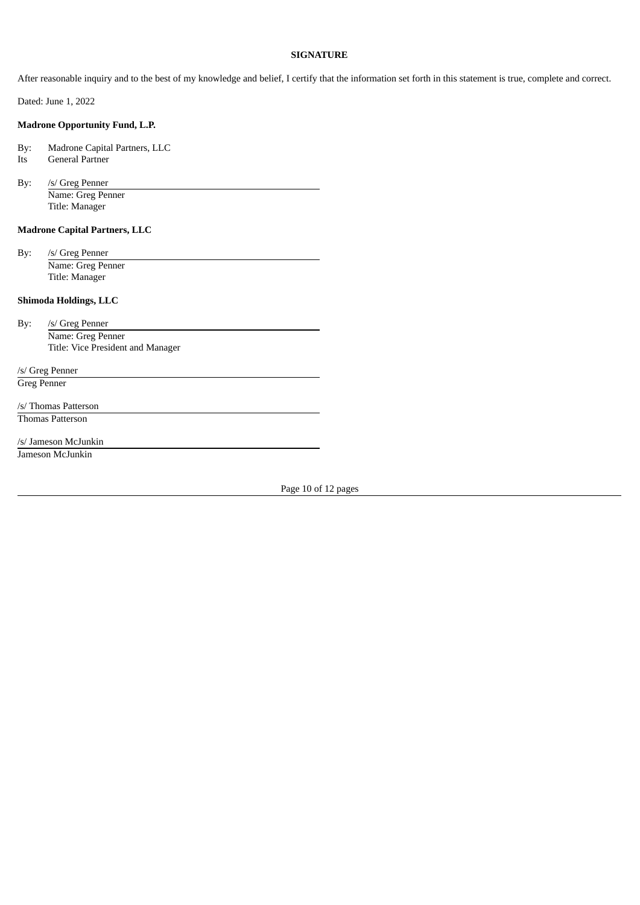### **SIGNATURE**

After reasonable inquiry and to the best of my knowledge and belief, I certify that the information set forth in this statement is true, complete and correct.

Dated: June 1, 2022

## **Madrone Opportunity Fund, L.P.**

By: Madrone Capital Partners, LLC Its General Partner

By: /s/ Greg Penner Name: Greg Penner Title: Manager

## **Madrone Capital Partners, LLC**

By: /s/ Greg Penner Name: Greg Penner Title: Manager

## **Shimoda Holdings, LLC**

By: /s/ Greg Penner Name: Greg Penner Title: Vice President and Manager

/s/ Greg Penner Greg Penner

/s/ Thomas Patterson Thomas Patterson

/s/ Jameson McJunkin

Jameson McJunkin

Page 10 of 12 pages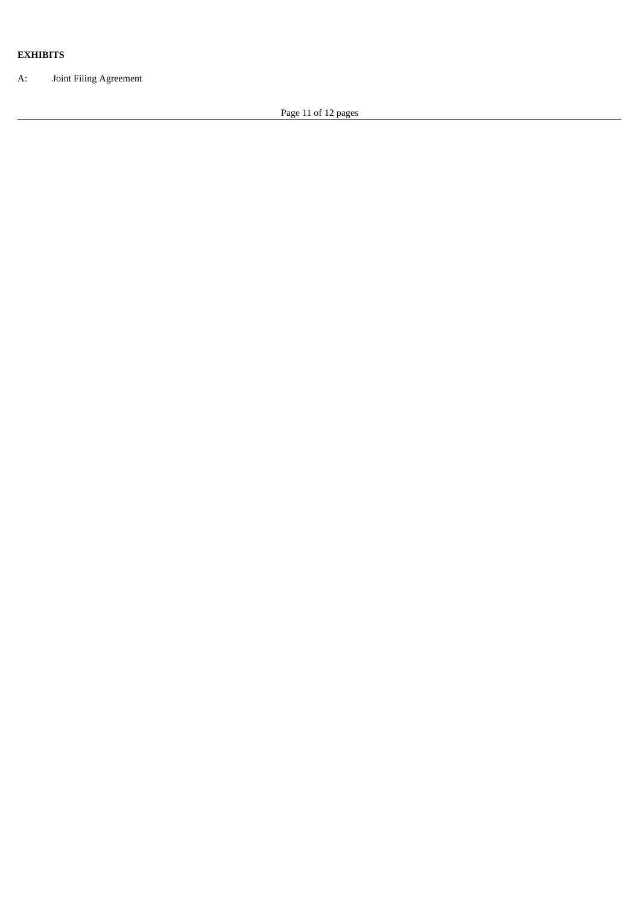## **EXHIBITS**

A: Joint Filing Agreement

Page 11 of 12 pages